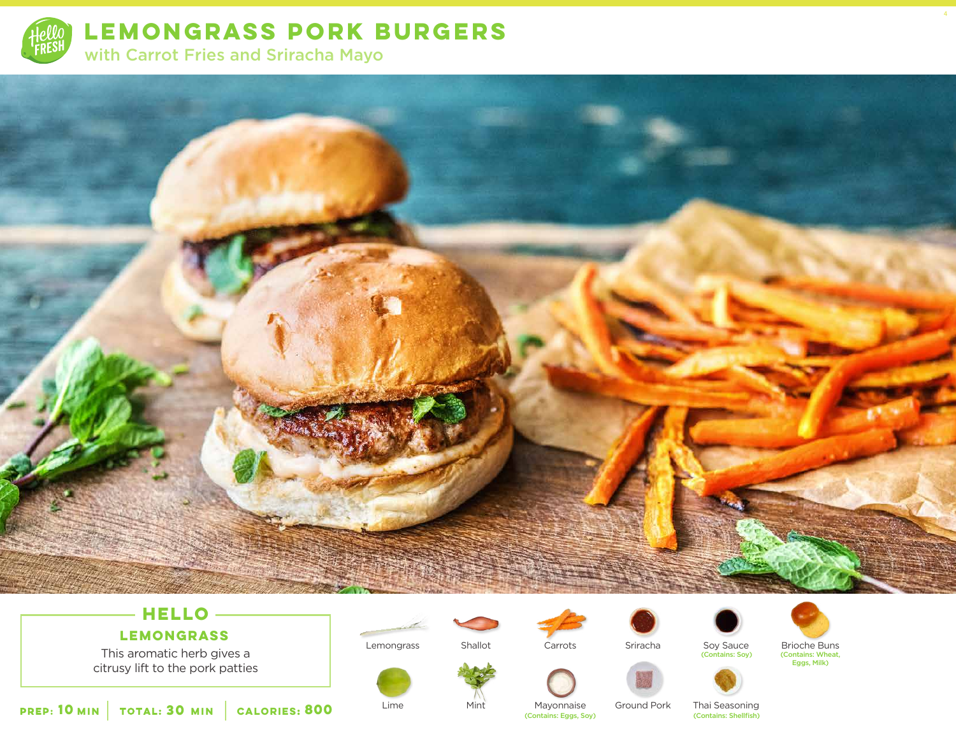

**LEMONGRASS PORK BURGERS**  with Carrot Fries and Sriracha Mayo



# **HELLO**

## **LEMONGRASS**

This aromatic herb gives a citrusy lift to the pork patties

**10** MIN **TOTAL: 30 MIN CALORIES: 800** Lime Miniter Miniter Mayomnaise Ground Pork That Seasoning (Contains: Shellfish) **800**

Lemongrass

Lime



Carrots

Sriracha



Soy Sauce (Contains: Soy)



4

(Contains: Wheat, Eggs, Milk)



Mayonnaise<br>(Contains: Eggs, Soy)

Ground Pork

Thai Seasoning<br>(Contains: Shellfish)